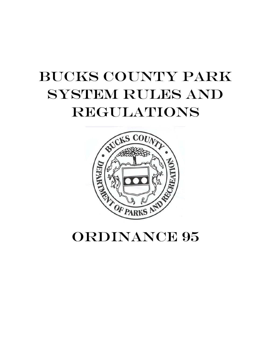# Bucks County Park system Rules and **REGULATIONS**



ORDINANCE 95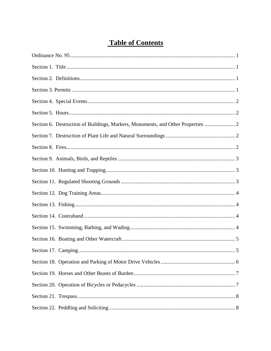# **Table of Contents**

| Section 6. Destruction of Buildings, Markers, Monuments, and Other Properties |  |
|-------------------------------------------------------------------------------|--|
|                                                                               |  |
|                                                                               |  |
|                                                                               |  |
|                                                                               |  |
|                                                                               |  |
|                                                                               |  |
|                                                                               |  |
|                                                                               |  |
|                                                                               |  |
|                                                                               |  |
| Section 17. Camping.<br>5                                                     |  |
|                                                                               |  |
|                                                                               |  |
|                                                                               |  |
|                                                                               |  |
|                                                                               |  |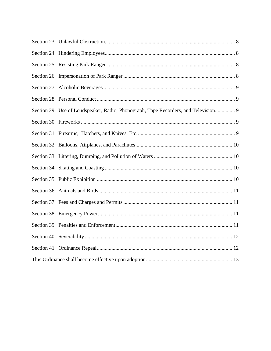| Section 29. Use of Loudspeaker, Radio, Phonograph, Tape Recorders, and Television 9 |
|-------------------------------------------------------------------------------------|
|                                                                                     |
|                                                                                     |
|                                                                                     |
|                                                                                     |
|                                                                                     |
|                                                                                     |
|                                                                                     |
|                                                                                     |
|                                                                                     |
|                                                                                     |
|                                                                                     |
|                                                                                     |
|                                                                                     |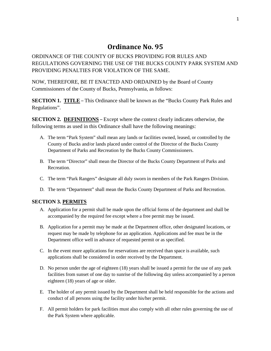## **Ordinance No. 95**

<span id="page-3-0"></span>ORDINANCE OF THE COUNTY OF BUCKS PROVIDING FOR RULES AND REGULATIONS GOVERNING THE USE OF THE BUCKS COUNTY PARK SYSTEM AND PROVIDING PENALTIES FOR VIOLATION OF THE SAME.

NOW, THEREFORE, BE IT ENACTED AND ORDAINED by the Board of County Commissioners of the County of Bucks, Pennsylvania, as follows:

<span id="page-3-1"></span>**SECTION 1. TITLE** – This Ordinance shall be known as the "Bucks County Park Rules and Regulations".

<span id="page-3-2"></span>**SECTION 2. DEFINITIONS** – Except where the context clearly indicates otherwise, the following terms as used in this Ordinance shall have the following meanings:

- A. The term "Park System" shall mean any lands or facilities owned, leased, or controlled by the County of Bucks and/or lands placed under control of the Director of the Bucks County Department of Parks and Recreation by the Bucks County Commissioners.
- B. The term "Director" shall mean the Director of the Bucks County Department of Parks and **Recreation**
- C. The term "Park Rangers" designate all duly sworn in members of the Park Rangers Division.
- D. The term "Department" shall mean the Bucks County Department of Parks and Recreation.

## <span id="page-3-3"></span>**SECTION 3. PERMITS**

- A. Application for a permit shall be made upon the official forms of the department and shall be accompanied by the required fee except where a free permit may be issued.
- B. Application for a permit may be made at the Department office, other designated locations, or request may be made by telephone for an application. Applications and fee must be in the Department office well in advance of requested permit or as specified.
- C. In the event more applications for reservations are received than space is available, such applications shall be considered in order received by the Department.
- D. No person under the age of eighteen (18) years shall be issued a permit for the use of any park facilities from sunset of one day to sunrise of the following day unless accompanied by a person eighteen (18) years of age or older.
- E. The holder of any permit issued by the Department shall be held responsible for the actions and conduct of all persons using the facility under his/her permit.
- F. All permit holders for park facilities must also comply with all other rules governing the use of the Park System where applicable.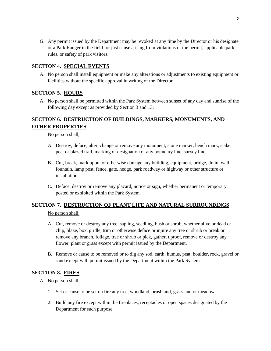G. Any permit issued by the Department may be revoked at any time by the Director or his designate or a Park Ranger in the field for just cause arising from violations of the permit, applicable park rules, or safety of park visitors.

## <span id="page-4-0"></span>**SECTION 4. SPECIAL EVENTS**

A. No person shall install equipment or make any alterations or adjustments to existing equipment or facilities without the specific approval in writing of the Director.

## <span id="page-4-1"></span>**SECTION 5. HOURS**

A. No person shall be permitted within the Park System between sunset of any day and sunrise of the following day except as provided by Section 3 and 13.

## <span id="page-4-2"></span>**SECTION 6. DESTRUCTION OF BUILDINGS, MARKERS, MONUMENTS, AND OTHER PROPERTIES**

No person shall,

- A. Destroy, deface, alter, change or remove any monument, stone marker, bench mark, stake, post or blazed trail, marking or designation of any boundary line, survey line.
- B. Cut, break, mark upon, or otherwise damage any building, equipment, bridge, drain, wall fountain, lamp post, fence, gate, hedge, park roadway or highway or other structure or installation.
- C. Deface, destroy or remove any placard, notice or sign, whether permanent or temporary, posted or exhibited within the Park System.

## <span id="page-4-3"></span>**SECTION 7. DESTRUCTION OF PLANT LIFE AND NATURAL SURROUNDINGS**

No person shall,

- A. Cut, remove or destroy any tree, sapling, seedling, bush or shrub, whether alive or dead or chip, blaze, box, girdle, trim or otherwise deface or injure any tree or shrub or break or remove any branch, foliage, tree or shrub or pick, gather, uproot, remove or destroy any flower, plant or grass except with permit issued by the Department.
- B. Remove or cause to be removed or to dig any sod, earth, humus, peat, boulder, rock, gravel or sand except with permit issued by the Department within the Park System.

## <span id="page-4-4"></span>**SECTION 8. FIRES**

A. No person shall,

- 1. Set or cause to be set on fire any tree, woodland, brushland, grassland or meadow.
- 2. Build any fire except within the fireplaces, receptacles or open spaces designated by the Department for such purpose.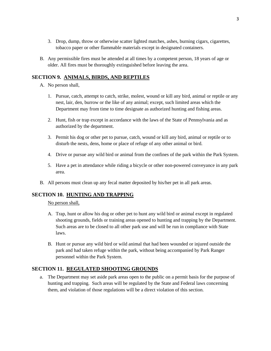- 3. Drop, dump, throw or otherwise scatter lighted matches, ashes, burning cigars, cigarettes, tobacco paper or other flammable materials except in designated containers.
- B. Any permissible fires must be attended at all times by a competent person, 18 years of age or older. All fires must be thoroughly extinguished before leaving the area.

## <span id="page-5-0"></span>**SECTION 9. ANIMALS, BIRDS, AND REPTILES**

- A. No person shall,
	- 1. Pursue, catch, attempt to catch, strike, molest, wound or kill any bird, animal or reptile or any nest, lair, den, burrow or the like of any animal; except, such limited areas which the Department may from time to time designate as authorized hunting and fishing areas.
	- 2. Hunt, fish or trap except in accordance with the laws of the State of Pennsylvania and as authorized by the department.
	- 3. Permit his dog or other pet to pursue, catch, wound or kill any bird, animal or reptile or to disturb the nests, dens, home or place of refuge of any other animal or bird.
	- 4. Drive or pursue any wild bird or animal from the confines of the park within the Park System.
	- 5. Have a pet in attendance while riding a bicycle or other non-powered conveyance in any park area.
- B. All persons must clean up any fecal matter deposited by his/her pet in all park areas.

## <span id="page-5-1"></span>**SECTION 10. HUNTING AND TRAPPING**

No person shall,

- A. Trap, hunt or allow his dog or other pet to hunt any wild bird or animal except in regulated shooting grounds, fields or training areas opened to hunting and trapping by the Department. Such areas are to be closed to all other park use and will be run in compliance with State laws.
- B. Hunt or pursue any wild bird or wild animal that had been wounded or injured outside the park and had taken refuge within the park, without being accompanied by Park Ranger personnel within the Park System.

## <span id="page-5-2"></span>**SECTION 11. REGULATED SHOOTING GROUNDS**

a. The Department may set aside park areas open to the public on a permit basis for the purpose of hunting and trapping. Such areas will be regulated by the State and Federal laws concerning them, and violation of those regulations will be a direct violation of this section.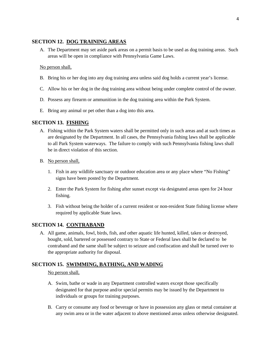## <span id="page-6-0"></span>**SECTION 12. DOG TRAINING AREAS**

A. The Department may set aside park areas on a permit basis to be used as dog training areas. Such areas will be open in compliance with Pennsylvania Game Laws.

#### No person shall,

- B. Bring his or her dog into any dog training area unless said dog holds a current year's license.
- C. Allow his or her dog in the dog training area without being under complete control of the owner.
- D. Possess any firearm or ammunition in the dog training area within the Park System.
- E. Bring any animal or pet other than a dog into this area.

## <span id="page-6-1"></span>**SECTION 13. FISHING**

- A. Fishing within the Park System waters shall be permitted only in such areas and at such times as are designated by the Department. In all cases, the Pennsylvania fishing laws shall be applicable to all Park System waterways. The failure to comply with such Pennsylvania fishing laws shall be in direct violation of this section.
- B. No person shall,
	- 1. Fish in any wildlife sanctuary or outdoor education area or any place where "No Fishing" signs have been posted by the Department.
	- 2. Enter the Park System for fishing after sunset except via designated areas open for 24 hour fishing.
	- 3. Fish without being the holder of a current resident or non-resident State fishing license where required by applicable State laws.

## <span id="page-6-2"></span>**SECTION 14. CONTRABAND**

A. All game, animals, fowl, birds, fish, and other aquatic life hunted, killed, taken or destroyed, bought, sold, bartered or possessed contrary to State or Federal laws shall be declared to be contraband and the same shall be subject to seizure and confiscation and shall be turned over to the appropriate authority for disposal.

## <span id="page-6-3"></span>**SECTION 15. SWIMMING, BATHING, AND WADING**

#### No person shall,

- A. Swim, bathe or wade in any Department controlled waters except those specifically designated for that purpose and/or special permits may be issued by the Department to individuals or groups for training purposes.
- B. Carry or consume any food or beverage or have in possession any glass or metal container at any swim area or in the water adjacent to above mentioned areas unless otherwise designated.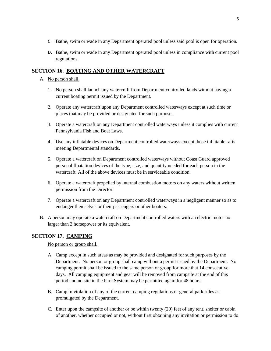- C. Bathe, swim or wade in any Department operated pool unless said pool is open for operation.
- D. Bathe, swim or wade in any Department operated pool unless in compliance with current pool regulations.

## <span id="page-7-0"></span>**SECTION 16. BOATING AND OTHER WATERCRAFT**

## A. No person shall,

- 1. No person shall launch any watercraft from Department controlled lands without having a current boating permit issued by the Department.
- 2. Operate any watercraft upon any Department controlled waterways except at such time or places that may be provided or designated for such purpose.
- 3. Operate a watercraft on any Department controlled waterways unless it complies with current Pennsylvania Fish and Boat Laws.
- 4. Use any inflatable devices on Department controlled waterways except those inflatable rafts meeting Departmental standards.
- 5. Operate a watercraft on Department controlled waterways without Coast Guard approved personal floatation devices of the type, size, and quantity needed for each person in the watercraft. All of the above devices must be in serviceable condition.
- 6. Operate a watercraft propelled by internal combustion motors on any waters without written permission from the Director.
- 7. Operate a watercraft on any Department controlled waterways in a negligent manner so as to endanger themselves or their passengers or other boaters.
- B. A person may operate a watercraft on Department controlled waters with an electric motor no larger than 3 horsepower or its equivalent.

## <span id="page-7-1"></span>**SECTION 17. CAMPING**

No person or group shall,

- A. Camp except in such areas as may be provided and designated for such purposes by the Department. No person or group shall camp without a permit issued by the Department. No camping permit shall be issued to the same person or group for more that 14 consecutive days. All camping equipment and gear will be removed from campsite at the end of this period and no site in the Park System may be permitted again for 48 hours.
- B. Camp in violation of any of the current camping regulations or general park rules as promulgated by the Department.
- C. Enter upon the campsite of another or be within twenty (20) feet of any tent, shelter or cabin of another, whether occupied or not, without first obtaining any invitation or permission to do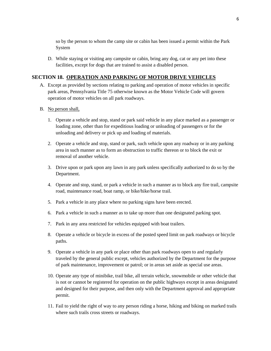so by the person to whom the camp site or cabin has been issued a permit within the Park System

D. While staying or visiting any campsite or cabin, bring any dog, cat or any pet into these facilities, except for dogs that are trained to assist a disabled person.

#### <span id="page-8-0"></span>**SECTION 18. OPERATION AND PARKING OF MOTOR DRIVE VEHICLES**

- A. Except as provided by sections relating to parking and operation of motor vehicles in specific park areas, Pennsylvania Title 75 otherwise known as the Motor Vehicle Code will govern operation of motor vehicles on all park roadways.
- B. No person shall,
	- 1. Operate a vehicle and stop, stand or park said vehicle in any place marked as a passenger or loading zone, other than for expeditious loading or unloading of passengers or for the unloading and delivery or pick up and loading of materials.
	- 2. Operate a vehicle and stop, stand or park, such vehicle upon any roadway or in any parking area in such manner as to form an obstruction to traffic thereon or to block the exit or removal of another vehicle.
	- 3. Drive upon or park upon any lawn in any park unless specifically authorized to do so by the Department.
	- 4. Operate and stop, stand, or park a vehicle in such a manner as to block any fire trail, campsite road, maintenance road, boat ramp, or bike/hike/horse trail.
	- 5. Park a vehicle in any place where no parking signs have been erected.
	- 6. Park a vehicle in such a manner as to take up more than one designated parking spot.
	- 7. Park in any area restricted for vehicles equipped with boat trailers.
	- 8. Operate a vehicle or bicycle in excess of the posted speed limit on park roadways or bicycle paths.
	- 9. Operate a vehicle in any park or place other than park roadways open to and regularly traveled by the general public except, vehicles authorized by the Department for the purpose of park maintenance, improvement or patrol; or in areas set aside as special use areas.
	- 10. Operate any type of minibike, trail bike, all terrain vehicle, snowmobile or other vehicle that is not or cannot be registered for operation on the public highways except in areas designated and designed for their purpose, and then only with the Department approval and appropriate permit.
	- 11. Fail to yield the right of way to any person riding a horse, hiking and biking on marked trails where such trails cross streets or roadways.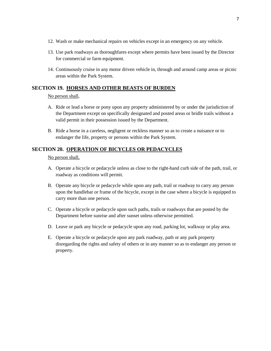- 12. Wash or make mechanical repairs on vehicles except in an emergency on any vehicle.
- 13. Use park roadways as thoroughfares except where permits have been issued by the Director for commercial or farm equipment.
- 14. Continuously cruise in any motor driven vehicle in, through and around camp areas or picnic areas within the Park System.

## <span id="page-9-0"></span>**SECTION 19. HORSES AND OTHER BEASTS OF BURDEN**

#### No person shall,

- A. Ride or lead a horse or pony upon any property administered by or under the jurisdiction of the Department except on specifically designated and posted areas or bridle trails without a valid permit in their possession issued by the Department.
- B. Ride a horse in a careless, negligent or reckless manner so as to create a nuisance or to endanger the life, property or persons within the Park System.

## <span id="page-9-1"></span>**SECTION 20. OPERATION OF BICYCLES OR PEDACYCLES**

#### No person shall,

- A. Operate a bicycle or pedacycle unless as close to the right-hand curb side of the path, trail, or roadway as conditions will permit.
- B. Operate any bicycle or pedacycle while upon any path, trail or roadway to carry any person upon the handlebar or frame of the bicycle, except in the case where a bicycle is equipped to carry more than one person.
- C. Operate a bicycle or pedacycle upon such paths, trails or roadways that are posted by the Department before sunrise and after sunset unless otherwise permitted.
- D. Leave or park any bicycle or pedacycle upon any road, parking lot, walkway or play area.
- E. Operate a bicycle or pedacycle upon any park roadway, path or any park property disregarding the rights and safety of others or in any manner so as to endanger any person or property.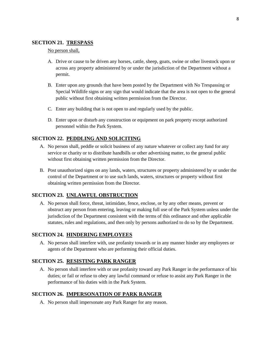#### <span id="page-10-0"></span>**SECTION 21. TRESPASS**

#### No person shall,

- A. Drive or cause to be driven any horses, cattle, sheep, goats, swine or other livestock upon or across any property administered by or under the jurisdiction of the Department without a permit.
- B. Enter upon any grounds that have been posted by the Department with No Trespassing or Special Wildlife signs or any sign that would indicate that the area is not open to the general public without first obtaining written permission from the Director.
- C. Enter any building that is not open to and regularly used by the public.
- D. Enter upon or disturb any construction or equipment on park property except authorized personnel within the Park System.

#### <span id="page-10-1"></span>**SECTION 22. PEDDLING AND SOLICITING**

- A. No person shall, peddle or solicit business of any nature whatever or collect any fund for any service or charity or to distribute handbills or other advertising matter, to the general public without first obtaining written permission from the Director.
- B. Post unauthorized signs on any lands, waters, structures or property administered by or under the control of the Department or to use such lands, waters, structures or property without first obtaining written permission from the Director.

#### <span id="page-10-2"></span>**SECTION 23. UNLAWFUL OBSTRUCTION**

A. No person shall force, threat, intimidate, fence, enclose, or by any other means, prevent or obstruct any person from entering, leaving or making full use of the Park System unless under the jurisdiction of the Department consistent with the terms of this ordinance and other applicable statutes, rules and regulations, and then only by persons authorized to do so by the Department.

#### <span id="page-10-3"></span>**SECTION 24. HINDERING EMPLOYEES**

A. No person shall interfere with, use profanity towards or in any manner hinder any employees or agents of the Department who are performing their official duties.

## <span id="page-10-4"></span>**SECTION 25. RESISTING PARK RANGER**

A. No person shall interfere with or use profanity toward any Park Ranger in the performance of his duties; or fail or refuse to obey any lawful command or refuse to assist any Park Ranger in the performance of his duties with in the Park System.

#### <span id="page-10-5"></span>**SECTION 26. IMPERSONATION OF PARK RANGER**

A. No person shall impersonate any Park Ranger for any reason.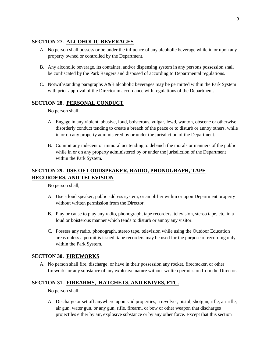## <span id="page-11-0"></span>**SECTION 27. ALCOHOLIC BEVERAGES**

- A. No person shall possess or be under the influence of any alcoholic beverage while in or upon any property owned or controlled by the Department.
- B. Any alcoholic beverage, its container, and/or dispensing system in any persons possession shall be confiscated by the Park Rangers and disposed of according to Departmental regulations.
- C. Notwithstanding paragraphs A&B alcoholic beverages may be permitted within the Park System with prior approval of the Director in accordance with regulations of the Department.

## <span id="page-11-1"></span>**SECTION 28. PERSONAL CONDUCT**

#### No person shall,

- A. Engage in any violent, abusive, loud, boisterous, vulgar, lewd, wanton, obscene or otherwise disorderly conduct tending to create a breach of the peace or to disturb or annoy others, while in or on any property administered by or under the jurisdiction of the Department.
- B. Commit any indecent or immoral act tending to debauch the morals or manners of the public while in or on any property administered by or under the jurisdiction of the Department within the Park System.

## <span id="page-11-2"></span>**SECTION 29. USE OF LOUDSPEAKER, RADIO, PHONOGRAPH, TAPE RECORDERS, AND TELEVISION**

No person shall,

- A. Use a loud speaker, public address system, or amplifier within or upon Department property without written permission from the Director.
- B. Play or cause to play any radio, phonograph, tape recorders, television, stereo tape, etc. in a loud or boisterous manner which tends to disturb or annoy any visitor.
- C. Possess any radio, phonograph, stereo tape, television while using the Outdoor Education areas unless a permit is issued; tape recorders may be used for the purpose of recording only within the Park System.

## <span id="page-11-3"></span>**SECTION 30. FIREWORKS**

A. No person shall fire, discharge, or have in their possession any rocket, firecracker, or other fireworks or any substance of any explosive nature without written permission from the Director.

## <span id="page-11-4"></span>**SECTION 31. FIREARMS, HATCHETS, AND KNIVES, ETC.**

No person shall,

A. Discharge or set off anywhere upon said properties, a revolver, pistol, shotgun, rifle, air rifle, air gun, water gun, or any gun, rifle, firearm, or bow or other weapon that discharges projectiles either by air, explosive substance or by any other force. Except that this section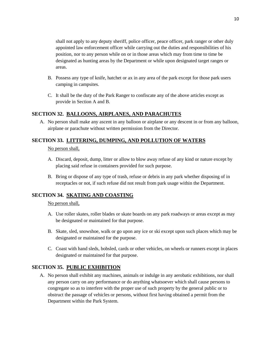shall not apply to any deputy sheriff, police officer, peace officer, park ranger or other duly appointed law enforcement officer while carrying out the duties and responsibilities of his position, nor to any person while on or in those areas which may from time to time be designated as hunting areas by the Department or while upon designated target ranges or areas.

- B. Possess any type of knife, hatchet or ax in any area of the park except for those park users camping in campsites.
- C. It shall be the duty of the Park Ranger to confiscate any of the above articles except as provide in Section A and B.

## <span id="page-12-0"></span>**SECTION 32. BALLOONS, AIRPLANES, AND PARACHUTES**

A. No person shall make any ascent in any balloon or airplane or any descent in or from any balloon, airplane or parachute without written permission from the Director.

## <span id="page-12-1"></span>**SECTION 33. LITTERING, DUMPING, AND POLLUTION OF WATERS**

#### No person shall,

- A. Discard, deposit, dump, litter or allow to blow away refuse of any kind or nature except by placing said refuse in containers provided for such purpose.
- B. Bring or dispose of any type of trash, refuse or debris in any park whether disposing of in receptacles or not, if such refuse did not result from park usage within the Department.

## <span id="page-12-2"></span>**SECTION 34. SKATING AND COASTING**

#### No person shall,

- A. Use roller skates, roller blades or skate boards on any park roadways or areas except as may be designated or maintained for that purpose.
- B. Skate, sled, snowshoe, walk or go upon any ice or ski except upon such places which may be designated or maintained for the purpose.
- C. Coast with hand sleds, bobsled, cards or other vehicles, on wheels or runners except in places designated or maintained for that purpose.

## <span id="page-12-3"></span>**SECTION 35. PUBLIC EXHIBITION**

A. No person shall exhibit any machines, animals or indulge in any aerobatic exhibitions, nor shall any person carry on any performance or do anything whatsoever which shall cause persons to congregate so as to interfere with the proper use of such property by the general public or to obstruct the passage of vehicles or persons, without first having obtained a permit from the Department within the Park System.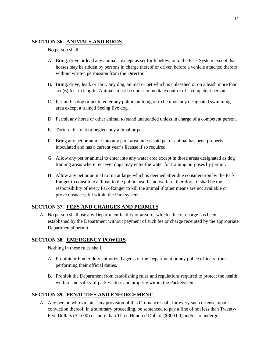## <span id="page-13-0"></span>**SECTION 36. ANIMALS AND BIRDS**

#### No person shall,

- A. Bring, drive or lead any animals, except as set forth below, onto the Park System except that horses may be ridden by persons in charge thereof or driven before a vehicle attached thereto without written permission from the Director.
- B. Bring, drive, lead, or carry any dog, animal or pet which is unleashed or on a leash more than six (6) feet in length. Animals must be under immediate control of a competent person.
- C. Permit his dog or pet to enter any public building or to be upon any designated swimming area except a trained Seeing Eye dog.
- D. Permit any horse or other animal to stand unattended unless in charge of a competent person.
- E. Torture, ill-treat or neglect any animal or pet.
- F. Bring any pet or animal into any park area unless said pet or animal has been properly inoculated and has a current year's license if so required.
- G. Allow any pet or animal to enter into any water area except in those areas designated as dog training areas where retriever dogs may enter the water for training purposes by permit.
- H. Allow any pet or animal to run at large which is deemed after due consideration by the Park Ranger to constitute a threat to the public health and welfare; therefore, it shall be the responsibility of every Park Ranger to kill the animal if other means are not available or prove unsuccessful within the Park system.

## <span id="page-13-1"></span>**SECTION 37. FEES AND CHARGES AND PERMITS**

A. No person shall use any Department facility or area for which a fee or charge has been established by the Department without payment of such fee or charge receipted by the appropriate Departmental permit.

## <span id="page-13-2"></span>**SECTION 38. EMERGENCY POWERS**

Nothing in these rules shall,

- A. Prohibit or hinder duly authorized agents of the Department or any police officers from performing their official duties.
- B. Prohibit the Department from establishing rules and regulations required to protect the health, welfare and safety of park visitors and property within the Park System.

## <span id="page-13-3"></span>**SECTION 39. PENALTIES AND ENFORCEMENT**

A. Any person who violates any provision of this Ordinance shall, for every such offense, upon conviction thereof, in a summary proceeding, be sentenced to pay a fine of not less than Twenty-Five Dollars (\$25.00) or more than Three Hundred Dollars (\$300.00) and/or to undergo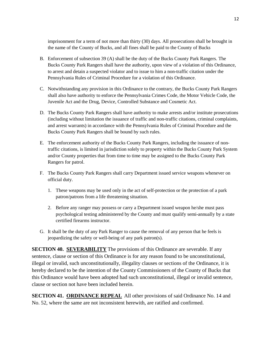imprisonment for a term of not more than thirty (30) days. All prosecutions shall be brought in the name of the County of Bucks, and all fines shall be paid to the County of Bucks

- B. Enforcement of subsection 39 (A) shall be the duty of the Bucks County Park Rangers. The Bucks County Park Rangers shall have the authority, upon view of a violation of this Ordinance, to arrest and detain a suspected violator and to issue to him a non-traffic citation under the Pennsylvania Rules of Criminal Procedure for a violation of this Ordinance.
- C. Notwithstanding any provision in this Ordinance to the contrary, the Bucks County Park Rangers shall also have authority to enforce the Pennsylvania Crimes Code, the Motor Vehicle Code, the Juvenile Act and the Drug, Device, Controlled Substance and Cosmetic Act.
- D. The Bucks County Park Rangers shall have authority to make arrests and/or institute prosecutions (including without limitation the issuance of traffic and non-traffic citations, criminal complaints, and arrest warrants) in accordance with the Pennsylvania Rules of Criminal Procedure and the Bucks County Park Rangers shall be bound by such rules.
- E. The enforcement authority of the Bucks County Park Rangers, including the issuance of nontraffic citations, is limited in jurisdiction solely to property within the Bucks County Park System and/or County properties that from time to time may be assigned to the Bucks County Park Rangers for patrol.
- F. The Bucks County Park Rangers shall carry Department issued service weapons whenever on official duty.
	- 1. These weapons may be used only in the act of self-protection or the protection of a park patron/patrons from a life threatening situation.
	- 2. Before any ranger may possess or carry a Department issued weapon he/she must pass psychological testing administered by the County and must qualify semi-annually by a state certified firearms instructor.
- G. It shall be the duty of any Park Ranger to cause the removal of any person that he feels is jeopardizing the safety or well-being of any park patron(s).

<span id="page-14-0"></span>**SECTION 40. SEVERABILITY** The provisions of this Ordinance are severable. If any sentence, clause or section of this Ordinance is for any reason found to be unconstitutional, illegal or invalid, such unconstitutionally, illegality clauses or sections of the Ordinance, it is hereby declared to be the intention of the County Commissioners of the County of Bucks that this Ordinance would have been adopted had such unconstitutional, illegal or invalid sentence, clause or section not have been included herein.

<span id="page-14-1"></span>**SECTION 41. ORDINANCE REPEAL** All other provisions of said Ordinance No. 14 and No. 52, where the same are not inconsistent herewith, are ratified and confirmed.